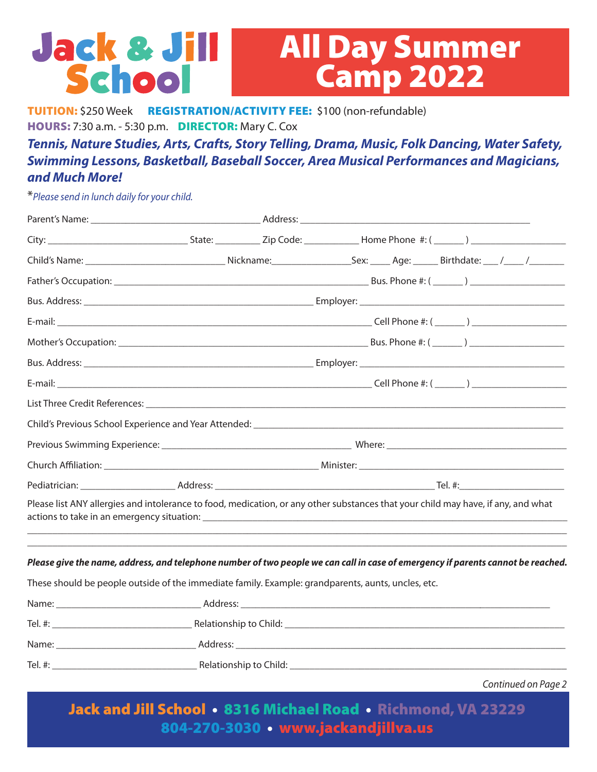## **Jack & Jill All Day Summer<br>Camp 2022** School

TUITION: \$250 Week REGISTRATION/ACTIVITY FEE: \$100 (non-refundable) HOURS: 7:30 a.m. - 5:30 p.m. DIRECTOR: Mary C. Cox

*Tennis, Nature Studies, Arts, Crafts, Story Telling, Drama, Music, Folk Dancing, Water Safety, Swimming Lessons, Basketball, Baseball Soccer, Area Musical Performances and Magicians, and Much More!* 

\**Please send in lunch daily for your child.*

|                                                                                                    | Pediatrician: Tel. #: Tel. #: Tel. #: Tel. #: Tel. #: Tel. #: Tel. #: Tel. #: Tel. #: Tel. #: Tel. #: Tel. #: Tel. #: Tel. #: Tel. #: Tel. #: Tel. #: Tel. #: Tel. #: Tel. #: Tel. #: Tel. #: Tel. #: Tel. #: Tel. #: Tel. #: |                                                                                                                                   |  |
|----------------------------------------------------------------------------------------------------|-------------------------------------------------------------------------------------------------------------------------------------------------------------------------------------------------------------------------------|-----------------------------------------------------------------------------------------------------------------------------------|--|
|                                                                                                    |                                                                                                                                                                                                                               | Please list ANY allergies and intolerance to food, medication, or any other substances that your child may have, if any, and what |  |
|                                                                                                    |                                                                                                                                                                                                                               | Please give the name, address, and telephone number of two people we can call in case of emergency if parents cannot be reached.  |  |
| These should be people outside of the immediate family. Example: grandparents, aunts, uncles, etc. |                                                                                                                                                                                                                               |                                                                                                                                   |  |
|                                                                                                    |                                                                                                                                                                                                                               |                                                                                                                                   |  |
|                                                                                                    |                                                                                                                                                                                                                               |                                                                                                                                   |  |
|                                                                                                    |                                                                                                                                                                                                                               |                                                                                                                                   |  |
|                                                                                                    |                                                                                                                                                                                                                               |                                                                                                                                   |  |

*Continued on Page 2*

Jack and Jill School • 8316 Michael Road • Richmond, VA 23229 804-270-3030 • www.jackandjillva.us